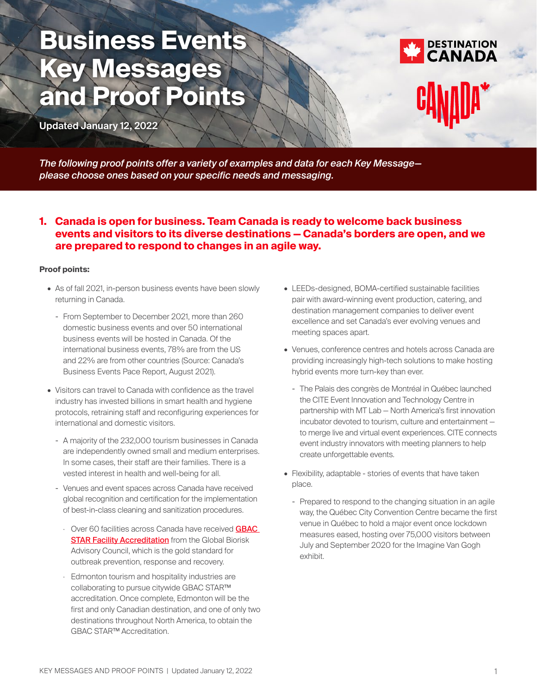# **Business Events Key Messages and Proof Points**

**Updated January 12, 2022** 



*The following proof points offer a variety of examples and data for each Key Message please choose ones based on your specific needs and messaging.*

# **1. Canada is open for business. Team Canada is ready to welcome back business events and visitors to its diverse destinations — Canada's borders are open, and we are prepared to respond to changes in an agile way.**

# **Proof points:**

- As of fall 2021, in-person business events have been slowly returning in Canada.
	- From September to December 2021, more than 260 domestic business events and over 50 international business events will be hosted in Canada. Of the international business events, 78% are from the US and 22% are from other countries (Source: Canada's Business Events Pace Report, August 2021).
- Visitors can travel to Canada with confidence as the travel industry has invested billions in smart health and hygiene protocols, retraining staff and reconfiguring experiences for international and domestic visitors.
	- A majority of the 232,000 tourism businesses in Canada are independently owned small and medium enterprises. In some cases, their staff are their families. There is a vested interest in health and well-being for all.
	- Venues and event spaces across Canada have received global recognition and certification for the implementation of best-in-class cleaning and sanitization procedures.
		- Over 60 facilities across Canada have received GBAC **[STAR Facility Accreditation](https://gbac.issa.com/)** from the Global Biorisk Advisory Council, which is the gold standard for outbreak prevention, response and recovery.
		- · Edmonton tourism and hospitality industries are collaborating to pursue citywide GBAC STAR™ accreditation. Once complete, Edmonton will be the first and only Canadian destination, and one of only two destinations throughout North America, to obtain the GBAC STAR™ Accreditation.
- LEEDs-designed, BOMA-certified sustainable facilities pair with award-winning event production, catering, and destination management companies to deliver event excellence and set Canada's ever evolving venues and meeting spaces apart.
- Venues, conference centres and hotels across Canada are providing increasingly high-tech solutions to make hosting hybrid events more turn-key than ever.
	- The Palais des congrès de Montréal in Québec launched the CITE Event Innovation and Technology Centre in partnership with MT Lab — North America's first innovation incubator devoted to tourism, culture and entertainment to merge live and virtual event experiences. CITE connects event industry innovators with meeting planners to help create unforgettable events.
- Flexibility, adaptable stories of events that have taken place.
	- Prepared to respond to the changing situation in an agile way, the Québec City Convention Centre became the first venue in Québec to hold a major event once lockdown measures eased, hosting over 75,000 visitors between July and September 2020 for the Imagine Van Gogh exhibit.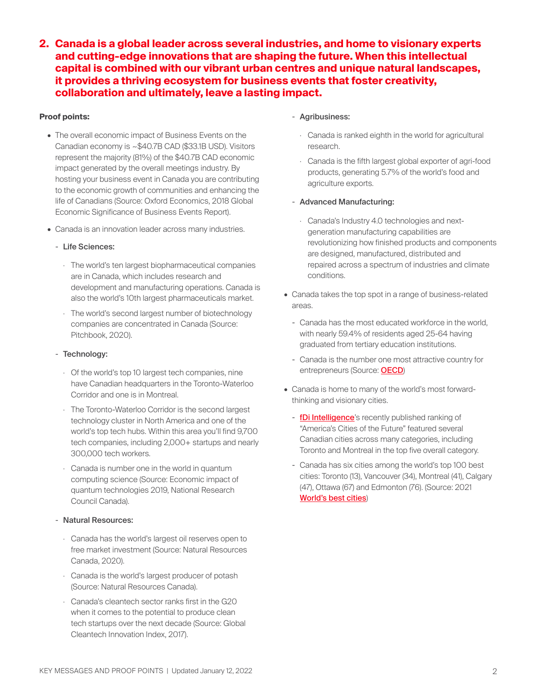**2. Canada is a global leader across several industries, and home to visionary experts and cutting-edge innovations that are shaping the future. When this intellectual capital is combined with our vibrant urban centres and unique natural landscapes, it provides a thriving ecosystem for business events that foster creativity, collaboration and ultimately, leave a lasting impact.** 

## **Proof points:**

- The overall economic impact of Business Events on the Canadian economy is ~\$40.7B CAD (\$33.1B USD). Visitors represent the majority (81%) of the \$40.7B CAD economic impact generated by the overall meetings industry. By hosting your business event in Canada you are contributing to the economic growth of communities and enhancing the life of Canadians (Source: Oxford Economics, 2018 Global Economic Significance of Business Events Report).
- Canada is an innovation leader across many industries.
	- Life Sciences:
		- · The world's ten largest biopharmaceutical companies are in Canada, which includes research and development and manufacturing operations. Canada is also the world's 10th largest pharmaceuticals market.
		- · The world's second largest number of biotechnology companies are concentrated in Canada (Source: Pitchbook, 2020).
	- Technology:
		- · Of the world's top 10 largest tech companies, nine have Canadian headquarters in the Toronto-Waterloo Corridor and one is in Montreal.
		- · The Toronto-Waterloo Corridor is the second largest technology cluster in North America and one of the world's top tech hubs. Within this area you'll find 9,700 tech companies, including 2,000+ startups and nearly 300,000 tech workers.
		- · Canada is number one in the world in quantum computing science (Source: Economic impact of quantum technologies 2019, National Research Council Canada).
	- Natural Resources:
	- · Canada has the world's largest oil reserves open to free market investment (Source: Natural Resources Canada, 2020).
	- · Canada is the world's largest producer of potash (Source: Natural Resources Canada).
	- · Canada's cleantech sector ranks first in the G20 when it comes to the potential to produce clean tech startups over the next decade (Source: Global Cleantech Innovation Index, 2017).

#### - Agribusiness:

- · Canada is ranked eighth in the world for agricultural research.
- · Canada is the fifth largest global exporter of agri-food products, generating 5.7% of the world's food and agriculture exports.

#### - Advanced Manufacturing:

- · Canada's Industry 4.0 technologies and nextgeneration manufacturing capabilities are revolutionizing how finished products and components are designed, manufactured, distributed and repaired across a spectrum of industries and climate conditions.
- Canada takes the top spot in a range of business-related areas.
	- Canada has the most educated workforce in the world, with nearly 59.4% of residents aged 25-64 having graduated from tertiary education institutions.
	- Canada is the number one most attractive country for entrepreneurs (Source: [OECD](https://www.oecd.org/migration/talent-attractiveness/))
- Canada is home to many of the world's most forwardthinking and visionary cities.
	- [fDi Intelligence](https://www.fdiintelligence.com/article/79912)'s recently published ranking of "America's Cities of the Future" featured several Canadian cities across many categories, including Toronto and Montreal in the top five overall category.
	- Canada has six cities among the world's top 100 best cities: Toronto (13), Vancouver (34), Montreal (41), Calgary (47), Ottawa (67) and Edmonton (76). (Source: 2021 [World's best cities](https://www.bestcities.org/report-download/?r=dXJlYVlTb29ZKzBhQ0x6SXZCNFN2QT09))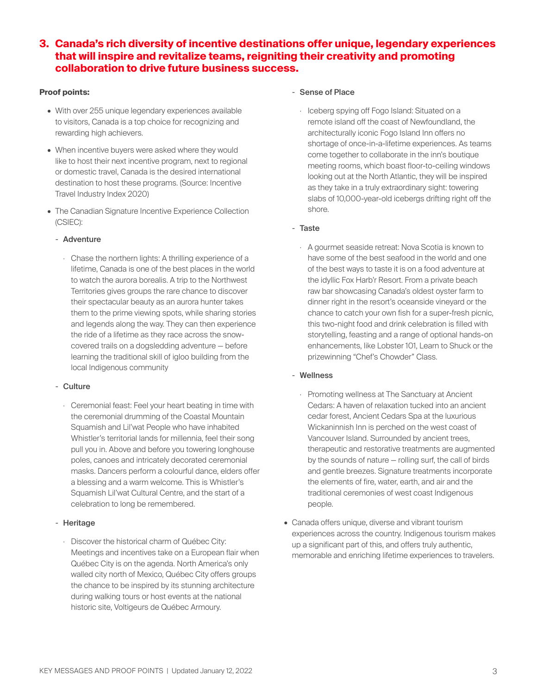# **3. Canada's rich diversity of incentive destinations offer unique, legendary experiences that will inspire and revitalize teams, reigniting their creativity and promoting collaboration to drive future business success.**

## **Proof points:**

- With over 255 unique legendary experiences available to visitors, Canada is a top choice for recognizing and rewarding high achievers.
- When incentive buyers were asked where they would like to host their next incentive program, next to regional or domestic travel, Canada is the desired international destination to host these programs. (Source: Incentive Travel Industry Index 2020)
- The Canadian Signature Incentive Experience Collection (CSIEC):

#### - Adventure

· Chase the northern lights: A thrilling experience of a lifetime, Canada is one of the best places in the world to watch the aurora borealis. A trip to the Northwest Territories gives groups the rare chance to discover their spectacular beauty as an aurora hunter takes them to the prime viewing spots, while sharing stories and legends along the way. They can then experience the ride of a lifetime as they race across the snowcovered trails on a dogsledding adventure — before learning the traditional skill of igloo building from the local Indigenous community

# - Culture

· Ceremonial feast: Feel your heart beating in time with the ceremonial drumming of the Coastal Mountain Squamish and Lil'wat People who have inhabited Whistler's territorial lands for millennia, feel their song pull you in. Above and before you towering longhouse poles, canoes and intricately decorated ceremonial masks. Dancers perform a colourful dance, elders offer a blessing and a warm welcome. This is Whistler's Squamish Lil'wat Cultural Centre, and the start of a celebration to long be remembered.

# - Heritage

· Discover the historical charm of Québec City: Meetings and incentives take on a European flair when Québec City is on the agenda. North America's only walled city north of Mexico, Québec City offers groups the chance to be inspired by its stunning architecture during walking tours or host events at the national historic site, Voltigeurs de Québec Armoury.

#### - Sense of Place

· Iceberg spying off Fogo Island: Situated on a remote island off the coast of Newfoundland, the architecturally iconic Fogo Island Inn offers no shortage of once-in-a-lifetime experiences. As teams come together to collaborate in the inn's boutique meeting rooms, which boast floor-to-ceiling windows looking out at the North Atlantic, they will be inspired as they take in a truly extraordinary sight: towering slabs of 10,000-year-old icebergs drifting right off the shore.

#### - Taste

· A gourmet seaside retreat: Nova Scotia is known to have some of the best seafood in the world and one of the best ways to taste it is on a food adventure at the idyllic Fox Harb'r Resort. From a private beach raw bar showcasing Canada's oldest oyster farm to dinner right in the resort's oceanside vineyard or the chance to catch your own fish for a super-fresh picnic, this two-night food and drink celebration is filled with storytelling, feasting and a range of optional hands-on enhancements, like Lobster 101, Learn to Shuck or the prizewinning "Chef's Chowder" Class.

# - Wellness

- · Promoting wellness at The Sanctuary at Ancient Cedars: A haven of relaxation tucked into an ancient cedar forest, Ancient Cedars Spa at the luxurious Wickaninnish Inn is perched on the west coast of Vancouver Island. Surrounded by ancient trees, therapeutic and restorative treatments are augmented by the sounds of nature — rolling surf, the call of birds and gentle breezes. Signature treatments incorporate the elements of fire, water, earth, and air and the traditional ceremonies of west coast Indigenous people.
- Canada offers unique, diverse and vibrant tourism experiences across the country. Indigenous tourism makes up a significant part of this, and offers truly authentic, memorable and enriching lifetime experiences to travelers.